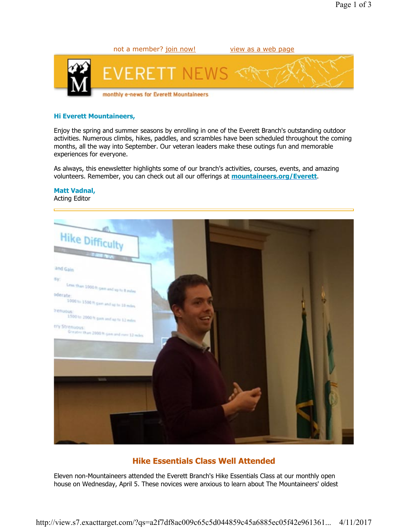

# Hi Everett Mountaineers,

Enjoy the spring and summer seasons by enrolling in one of the Everett Branch's outstanding outdoor activities. Numerous climbs, hikes, paddles, and scrambles have been scheduled throughout the coming months, all the way into September. Our veteran leaders make these outings fun and memorable experiences for everyone.

As always, this enewsletter highlights some of our branch's activities, courses, events, and amazing volunteers. Remember, you can check out all our offerings at **mountaineers.org/Everett**.

### Matt Vadnal,

Acting Editor



## Hike Essentials Class Well Attended

Eleven non-Mountaineers attended the Everett Branch's Hike Essentials Class at our monthly open house on Wednesday, April 5. These novices were anxious to learn about The Mountaineers' oldest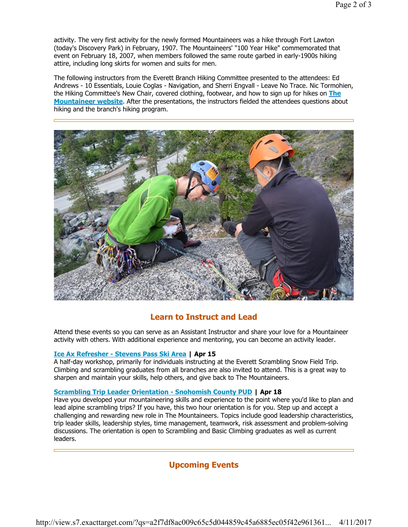activity. The very first activity for the newly formed Mountaineers was a hike through Fort Lawton (today's Discovery Park) in February, 1907. The Mountaineers' "100 Year Hike" commemorated that event on February 18, 2007, when members followed the same route garbed in early-1900s hiking attire, including long skirts for women and suits for men.

The following instructors from the Everett Branch Hiking Committee presented to the attendees: Ed Andrews - 10 Essentials, Louie Coglas - Navigation, and Sherri Engvall - Leave No Trace. Nic Tormohien, the Hiking Committee's New Chair, covered clothing, footwear, and how to sign up for hikes on The **Mountaineer website**. After the presentations, the instructors fielded the attendees questions about hiking and the branch's hiking program.



### Learn to Instruct and Lead

Attend these events so you can serve as an Assistant Instructor and share your love for a Mountaineer activity with others. With additional experience and mentoring, you can become an activity leader.

#### Ice Ax Refresher - Stevens Pass Ski Area | Apr 15

A half-day workshop, primarily for individuals instructing at the Everett Scrambling Snow Field Trip. Climbing and scrambling graduates from all branches are also invited to attend. This is a great way to sharpen and maintain your skills, help others, and give back to The Mountaineers.

#### Scrambling Trip Leader Orientation - Snohomish County PUD | Apr 18

Have you developed your mountaineering skills and experience to the point where you'd like to plan and lead alpine scrambling trips? If you have, this two hour orientation is for you. Step up and accept a challenging and rewarding new role in The Mountaineers. Topics include good leadership characteristics, trip leader skills, leadership styles, time management, teamwork, risk assessment and problem-solving discussions. The orientation is open to Scrambling and Basic Climbing graduates as well as current leaders.

### Upcoming Events